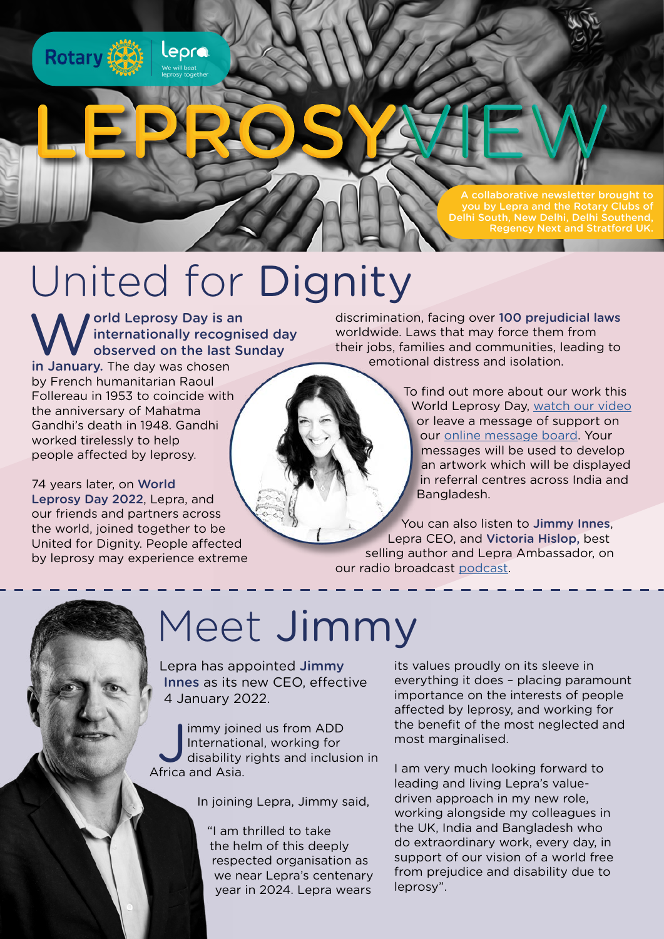

# United for Dignity

World Leprosy Day is an internationally recognistic property. The day was above. internationally recognised day observed on the last Sunday

in January. The day was chosen by French humanitarian Raoul Follereau in 1953 to coincide with the anniversary of Mahatma Gandhi's death in 1948. Gandhi worked tirelessly to help people affected by leprosy.

74 years later, on World Leprosy Day 2022, Lepra, and our friends and partners across the world, joined together to be United for Dignity. People affected by leprosy may experience extreme discrimination, facing over 100 prejudicial laws worldwide. Laws that may force them from their jobs, families and communities, leading to emotional distress and isolation.

> To find out more about our work this World Leprosy Day, w[atch our video](https://youtu.be/ufn907CNaqA) or leave a message of support on our [online message board](https://en-gb.padlet.com/lepracomms/fjuh2agw20d7chf3). Your messages will be used to develop an artwork which will be displayed in referral centres across India and Bangladesh.

You can also listen to Jimmy Innes, Lepra CEO, and Victoria Hislop, best selling author and Lepra Ambassador, on our radio broadcast [podcast.](https://studio.youtube.com/video/eS2hUQ0Utqo/edit)

# Meet Jimmy

Lepra has appointed Jimmy Innes as its new CEO, effective 4 January 2022.

Jimmy joined us from ADD<br>International, working for<br>disability rights and inclusi International, working for disability rights and inclusion in Africa and Asia.

In joining Lepra, Jimmy said,

"I am thrilled to take the helm of this deeply respected organisation as we near Lepra's centenary year in 2024. Lepra wears

its values proudly on its sleeve in everything it does – placing paramount importance on the interests of people affected by leprosy, and working for the benefit of the most neglected and most marginalised.

I am very much looking forward to leading and living Lepra's valuedriven approach in my new role, working alongside my colleagues in the UK, India and Bangladesh who do extraordinary work, every day, in support of our vision of a world free from prejudice and disability due to leprosy".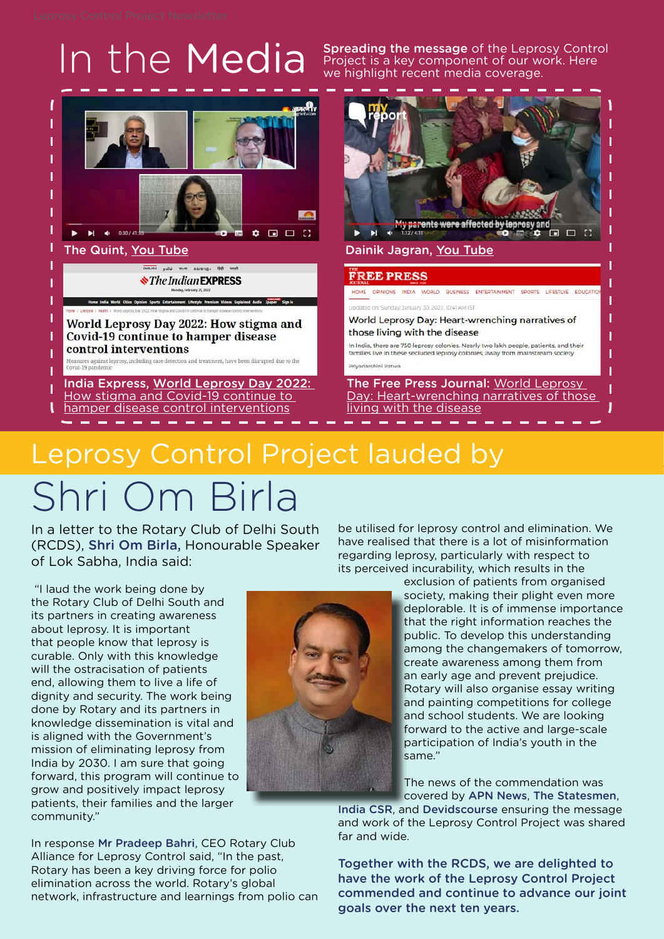

In the Media Spreading the message of the Leprosy Control Project is a key component of our work. Here Project is a key component of our work. Here we highlight recent media coverage.



#### **FREE PRESS**

HOME OPINIONS INDIA WORLD BUSINESS ENTERTAINMENT SPORTS LIFESTLYE EDUCATI ed on: Sunday, January 30, 2022, 10:41 AM IST

World Leprosy Day: Heart-wrenching narratives of those living with the disease

In India, there are 750 leprosy colonies. Nearly two lakh people, patients, and their families live in these secluded leprosy colonies, away from mainstream society

ī

ī

adarchini Datwa

The Free Press Journal: World Leprosy [Day: Heart-wrenching narratives of those](https://www.freepressjournal.in/weekend/world-leprosy-day-heart-wrenching-narratives-of-those-living-with-the-disease)  [living with the disease](https://www.freepressjournal.in/weekend/world-leprosy-day-heart-wrenching-narratives-of-those-living-with-the-disease)

## Leprosy Control Project lauded by

## Shri Om Birla

the company of the company of the company of

In a letter to the Rotary Club of Delhi South (RCDS), Shri Om Birla, Honourable Speaker of Lok Sabha, India said:

 "I laud the work being done by the Rotary Club of Delhi South and its partners in creating awareness about leprosy. It is important that people know that leprosy is curable. Only with this knowledge will the ostracisation of patients end, allowing them to live a life of dignity and security. The work being done by Rotary and its partners in knowledge dissemination is vital and is aligned with the Government's mission of eliminating leprosy from India by 2030. I am sure that going forward, this program will continue to grow and positively impact leprosy patients, their families and the larger community."

In response Mr Pradeep Bahri, CEO Rotary Club Alliance for Leprosy Control said, "In the past, Rotary has been a key driving force for polio elimination across the world. Rotary's global network, infrastructure and learnings from polio can

be utilised for leprosy control and elimination. We have realised that there is a lot of misinformation regarding leprosy, particularly with respect to its perceived incurability, which results in the

exclusion of patients from organised society, making their plight even more deplorable. It is of immense importance that the right information reaches the public. To develop this understanding among the changemakers of tomorrow, create awareness among them from an early age and prevent prejudice. Rotary will also organise essay writing and painting competitions for college and school students. We are looking forward to the active and large-scale participation of India's youth in the same."

The news of the commendation was covered by APN News, The Statesmen,

India CSR, and Devidscourse ensuring the message and work of the Leprosy Control Project was shared far and wide.

Together with the RCDS, we are delighted to have the work of the Leprosy Control Project commended and continue to advance our joint goals over the next ten years.

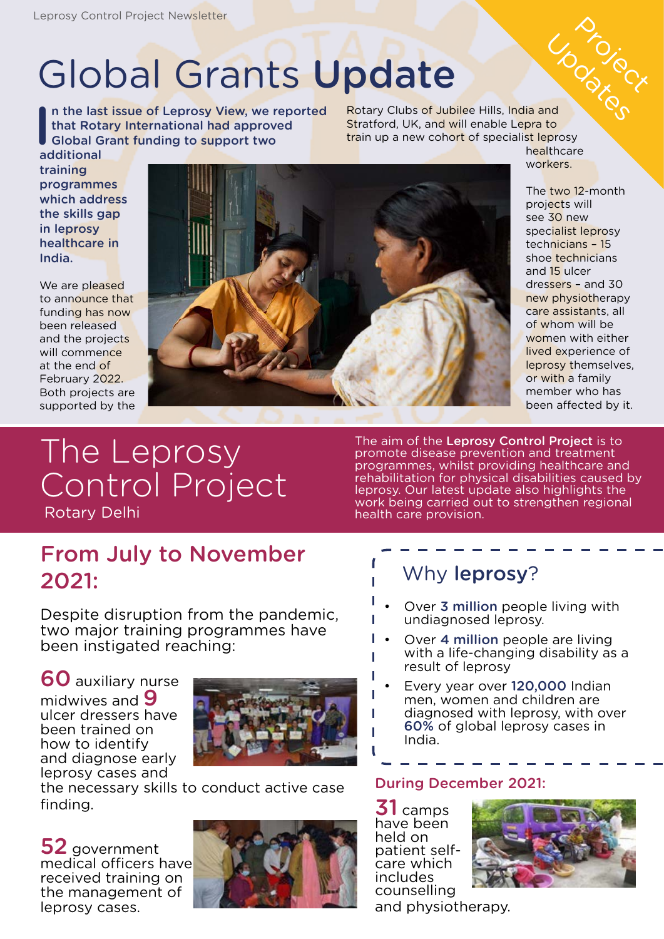# Global Grants Update

I in the last issue of Leprosy View, we rest that Rotary International had approve Global Grant funding to support two n the last issue of Leprosy View, we reported that Rotary International had approved

Updates Rotary Clubs of Jubilee Hills, India and Stratford, UK, and will enable Lepra to train up a new cohort of specialist leprosy healthcare

additional training programmes which address the skills gap in leprosy healthcare in India.

We are pleased to announce that funding has now been released and the projects will commence at the end of February 2022. Both projects are supported by the



The two 12-month projects will see 30 new specialist leprosy technicians – 15 shoe technicians and 15 ulcer dressers – and 30 new physiotherapy care assistants, all of whom will be women with either lived experience of leprosy themselves, or with a family member who has been affected by it.

workers.

Droject

### The Leprosy Control Project Rotary Delhi

The aim of the Leprosy Control Project is to promote disease prevention and treatment programmes, whilst providing healthcare and rehabilitation for physical disabilities caused by leprosy. Our latest update also highlights the work being carried out to strengthen regional health care provision.

#### From July to November 2021:

Despite disruption from the pandemic, two major training programmes have been instigated reaching:

60 auxiliary nurse midwives and  $9$ ulcer dressers have been trained on how to identify and diagnose early leprosy cases and



the necessary skills to conduct active case finding.

52 government medical officers have received training on the management of leprosy cases.



### Why leprosy?

- Over 3 million people living with undiagnosed leprosy.
- Over 4 million people are living with a life-changing disability as a result of leprosy
- Every year over 120,000 Indian men, women and children are diagnosed with leprosy, with over 60% of global leprosy cases in India.

#### During December 2021:

31 camps have been held on patient selfcare which includes counselling



and physiotherapy.